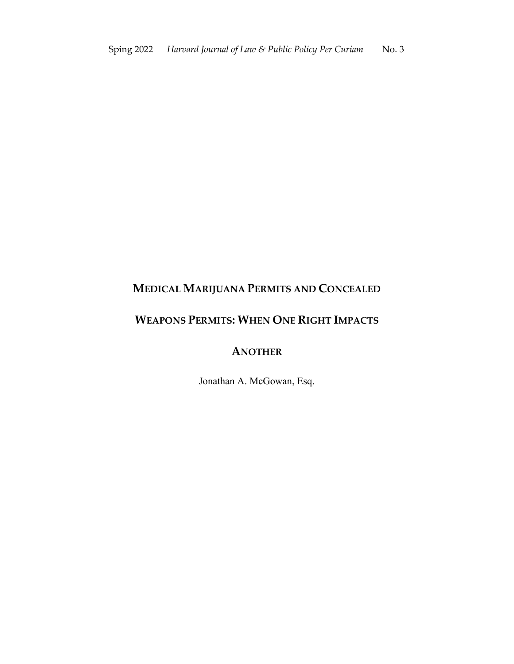# **MEDICAL MARIJUANA PERMITS AND CONCEALED**

# **WEAPONS PERMITS: WHEN ONE RIGHT IMPACTS**

## **ANOTHER**

Jonathan A. McGowan, Esq.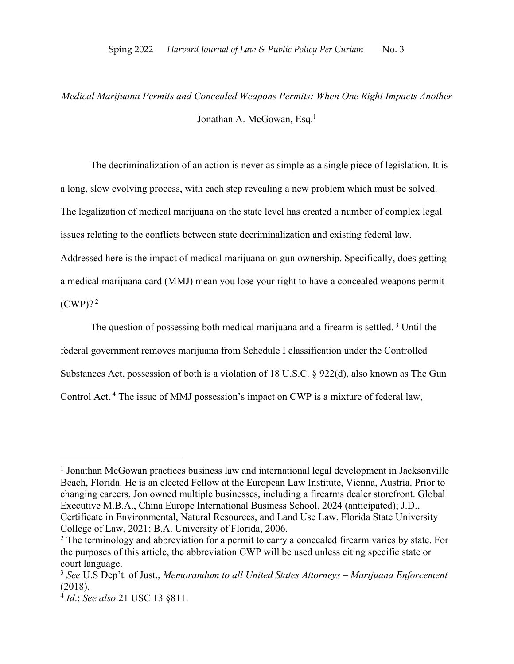# *Medical Marijuana Permits and Concealed Weapons Permits: When One Right Impacts Another* Jonathan A. McGowan, Esq.<sup>1</sup>

The decriminalization of an action is never as simple as a single piece of legislation. It is a long, slow evolving process, with each step revealing a new problem which must be solved. The legalization of medical marijuana on the state level has created a number of complex legal issues relating to the conflicts between state decriminalization and existing federal law. Addressed here is the impact of medical marijuana on gun ownership. Specifically, does getting a medical marijuana card (MMJ) mean you lose your right to have a concealed weapons permit  $(CWP)$ ?

The question of possessing both medical marijuana and a firearm is settled.<sup>3</sup> Until the federal government removes marijuana from Schedule I classification under the Controlled Substances Act, possession of both is a violation of 18 U.S.C. § 922(d), also known as The Gun Control Act. <sup>4</sup> The issue of MMJ possession's impact on CWP is a mixture of federal law,

<sup>&</sup>lt;sup>1</sup> Jonathan McGowan practices business law and international legal development in Jacksonville Beach, Florida. He is an elected Fellow at the European Law Institute, Vienna, Austria. Prior to changing careers, Jon owned multiple businesses, including a firearms dealer storefront. Global Executive M.B.A., China Europe International Business School, 2024 (anticipated); J.D., Certificate in Environmental, Natural Resources, and Land Use Law, Florida State University College of Law, 2021; B.A. University of Florida, 2006.

<sup>&</sup>lt;sup>2</sup> The terminology and abbreviation for a permit to carry a concealed firearm varies by state. For the purposes of this article, the abbreviation CWP will be used unless citing specific state or court language.

<sup>3</sup> *See* U.S Dep't. of Just., *Memorandum to all United States Attorneys – Marijuana Enforcement*  (2018).

<sup>4</sup> *Id*.; *See also* 21 USC 13 §811.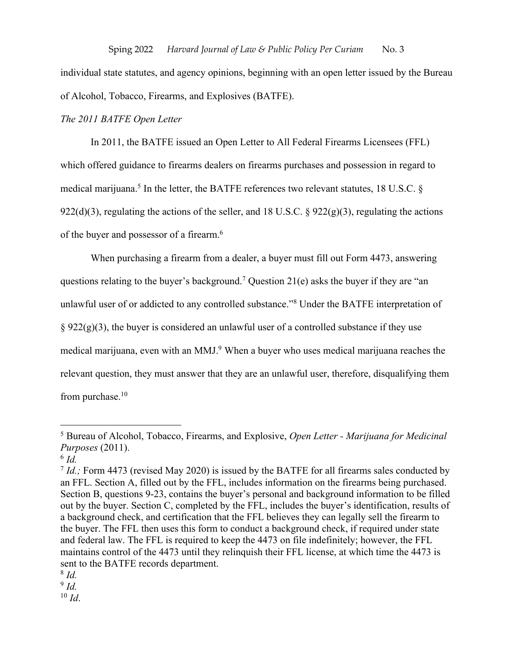individual state statutes, and agency opinions, beginning with an open letter issued by the Bureau of Alcohol, Tobacco, Firearms, and Explosives (BATFE).

#### *The 2011 BATFE Open Letter*

In 2011, the BATFE issued an Open Letter to All Federal Firearms Licensees (FFL) which offered guidance to firearms dealers on firearms purchases and possession in regard to medical marijuana.<sup>5</sup> In the letter, the BATFE references two relevant statutes, 18 U.S.C. § 922(d)(3), regulating the actions of the seller, and 18 U.S.C. § 922(g)(3), regulating the actions of the buyer and possessor of a firearm.<sup>6</sup>

When purchasing a firearm from a dealer, a buyer must fill out Form 4473, answering questions relating to the buyer's background.<sup>7</sup> Question 21(e) asks the buyer if they are "an unlawful user of or addicted to any controlled substance."8 Under the BATFE interpretation of  $\S 922(g)(3)$ , the buyer is considered an unlawful user of a controlled substance if they use medical marijuana, even with an MMJ.<sup>9</sup> When a buyer who uses medical marijuana reaches the relevant question, they must answer that they are an unlawful user, therefore, disqualifying them from purchase.<sup>10</sup>

 $9$   $Id.$ 

 $10$  *Id.* 

<sup>5</sup> Bureau of Alcohol, Tobacco, Firearms, and Explosive, *Open Letter - Marijuana for Medicinal Purposes* (2011).

 $^6$  *Id.* 

<sup>&</sup>lt;sup>7</sup> *Id.*; Form 4473 (revised May 2020) is issued by the BATFE for all firearms sales conducted by an FFL. Section A, filled out by the FFL, includes information on the firearms being purchased. Section B, questions 9-23, contains the buyer's personal and background information to be filled out by the buyer. Section C, completed by the FFL, includes the buyer's identification, results of a background check, and certification that the FFL believes they can legally sell the firearm to the buyer. The FFL then uses this form to conduct a background check, if required under state and federal law. The FFL is required to keep the 4473 on file indefinitely; however, the FFL maintains control of the 4473 until they relinquish their FFL license, at which time the 4473 is sent to the BATFE records department.

<sup>8</sup> *Id.*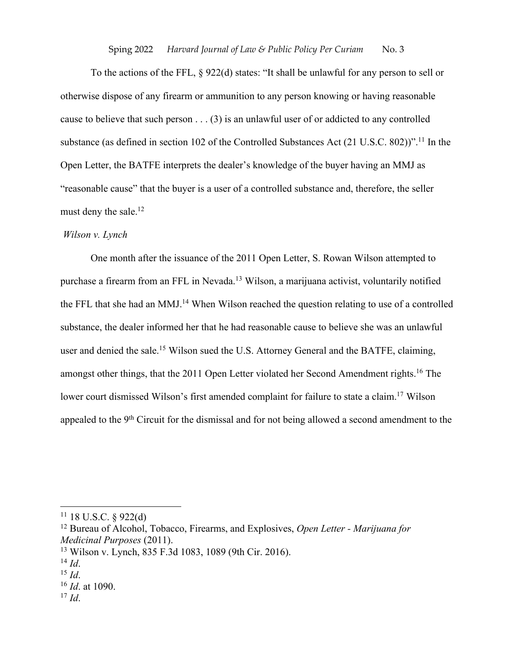#### Sping 2022 *Harvard Journal of Law & Public Policy Per Curiam* No. 3

To the actions of the FFL, § 922(d) states: "It shall be unlawful for any person to sell or otherwise dispose of any firearm or ammunition to any person knowing or having reasonable cause to believe that such person  $\dots$  (3) is an unlawful user of or addicted to any controlled substance (as defined in section 102 of the Controlled Substances Act (21 U.S.C. 802))".<sup>11</sup> In the Open Letter, the BATFE interprets the dealer's knowledge of the buyer having an MMJ as "reasonable cause" that the buyer is a user of a controlled substance and, therefore, the seller must deny the sale.<sup>12</sup>

## *Wilson v. Lynch*

One month after the issuance of the 2011 Open Letter, S. Rowan Wilson attempted to purchase a firearm from an FFL in Nevada. <sup>13</sup> Wilson, a marijuana activist, voluntarily notified the FFL that she had an MMJ.<sup>14</sup> When Wilson reached the question relating to use of a controlled substance, the dealer informed her that he had reasonable cause to believe she was an unlawful user and denied the sale.<sup>15</sup> Wilson sued the U.S. Attorney General and the BATFE, claiming, amongst other things, that the 2011 Open Letter violated her Second Amendment rights.16 The lower court dismissed Wilson's first amended complaint for failure to state a claim.<sup>17</sup> Wilson appealed to the 9<sup>th</sup> Circuit for the dismissal and for not being allowed a second amendment to the

 $11$  18 U.S.C. § 922(d)

<sup>12</sup> Bureau of Alcohol, Tobacco, Firearms, and Explosives, *Open Letter - Marijuana for Medicinal Purposes* (2011).

<sup>13</sup> Wilson v. Lynch, 835 F.3d 1083, 1089 (9th Cir. 2016).

<sup>14</sup> *Id*.

<sup>15</sup> *Id*.

<sup>16</sup> *Id*. at 1090.

 $17$  *Id.*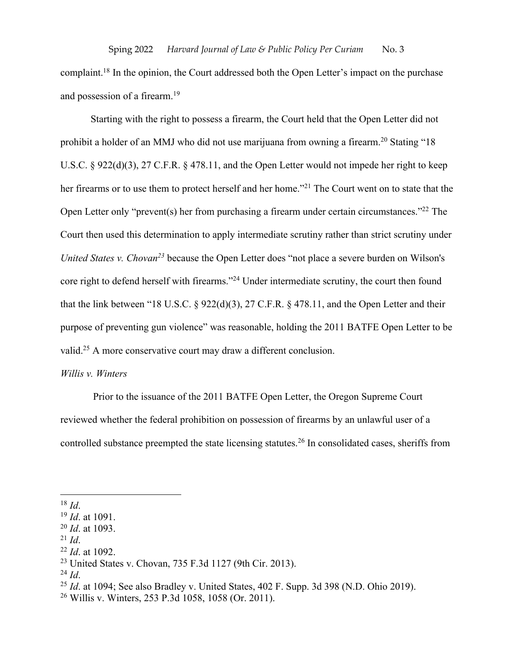complaint.<sup>18</sup> In the opinion, the Court addressed both the Open Letter's impact on the purchase and possession of a firearm.19

Starting with the right to possess a firearm, the Court held that the Open Letter did not prohibit a holder of an MMJ who did not use marijuana from owning a firearm.<sup>20</sup> Stating "18 U.S.C. § 922(d)(3), 27 C.F.R. § 478.11, and the Open Letter would not impede her right to keep her firearms or to use them to protect herself and her home."<sup>21</sup> The Court went on to state that the Open Letter only "prevent(s) her from purchasing a firearm under certain circumstances."22 The Court then used this determination to apply intermediate scrutiny rather than strict scrutiny under *United States v. Chovan<sup>23</sup>* because the Open Letter does "not place a severe burden on Wilson's core right to defend herself with firearms."24 Under intermediate scrutiny, the court then found that the link between "18 U.S.C. § 922(d)(3), 27 C.F.R. § 478.11, and the Open Letter and their purpose of preventing gun violence" was reasonable, holding the 2011 BATFE Open Letter to be valid.<sup>25</sup> A more conservative court may draw a different conclusion.

### *Willis v. Winters*

Prior to the issuance of the 2011 BATFE Open Letter, the Oregon Supreme Court reviewed whether the federal prohibition on possession of firearms by an unlawful user of a controlled substance preempted the state licensing statutes.26 In consolidated cases, sheriffs from

 $^{21}$  *Id.* 

 $^{24}$  *Id.* 

<sup>18</sup> *Id*.

<sup>19</sup> *Id*. at 1091.

<sup>20</sup> *Id*. at 1093.

<sup>22</sup> *Id*. at 1092.

<sup>23</sup> United States v. Chovan, 735 F.3d 1127 (9th Cir. 2013).

<sup>25</sup> *Id*. at 1094; See also Bradley v. United States, 402 F. Supp. 3d 398 (N.D. Ohio 2019).

<sup>26</sup> Willis v. Winters, 253 P.3d 1058, 1058 (Or. 2011).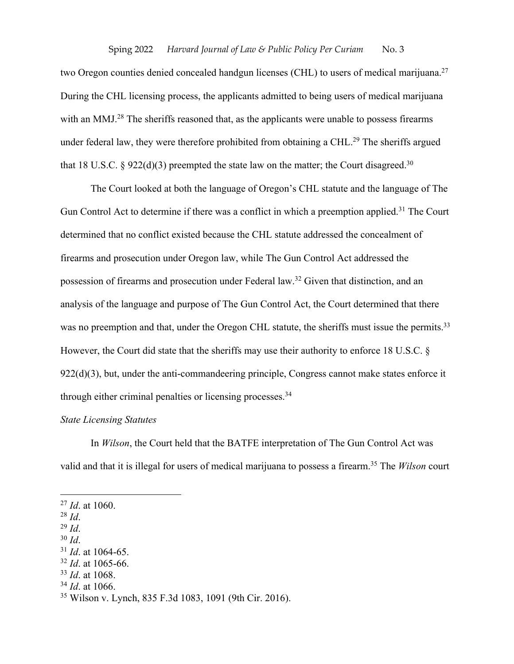two Oregon counties denied concealed handgun licenses (CHL) to users of medical marijuana.<sup>27</sup> During the CHL licensing process, the applicants admitted to being users of medical marijuana with an MMJ.<sup>28</sup> The sheriffs reasoned that, as the applicants were unable to possess firearms under federal law, they were therefore prohibited from obtaining a CHL.<sup>29</sup> The sheriffs argued that 18 U.S.C. § 922(d)(3) preempted the state law on the matter; the Court disagreed.<sup>30</sup>

The Court looked at both the language of Oregon's CHL statute and the language of The Gun Control Act to determine if there was a conflict in which a preemption applied.<sup>31</sup> The Court determined that no conflict existed because the CHL statute addressed the concealment of firearms and prosecution under Oregon law, while The Gun Control Act addressed the possession of firearms and prosecution under Federal law.32 Given that distinction, and an analysis of the language and purpose of The Gun Control Act, the Court determined that there was no preemption and that, under the Oregon CHL statute, the sheriffs must issue the permits.<sup>33</sup> However, the Court did state that the sheriffs may use their authority to enforce 18 U.S.C. §  $922(d)(3)$ , but, under the anti-commandeering principle, Congress cannot make states enforce it through either criminal penalties or licensing processes.<sup>34</sup>

## *State Licensing Statutes*

In *Wilson*, the Court held that the BATFE interpretation of The Gun Control Act was valid and that it is illegal for users of medical marijuana to possess a firearm.35 The *Wilson* court

<sup>29</sup> *Id*.

- <sup>33</sup> *Id*. at 1068.
- <sup>34</sup> *Id*. at 1066.

<sup>27</sup> *Id*. at 1060.

<sup>28</sup> *Id*.

<sup>30</sup> *Id*.

<sup>31</sup> *Id*. at 1064-65.

<sup>32</sup> *Id*. at 1065-66.

<sup>35</sup> Wilson v. Lynch, 835 F.3d 1083, 1091 (9th Cir. 2016).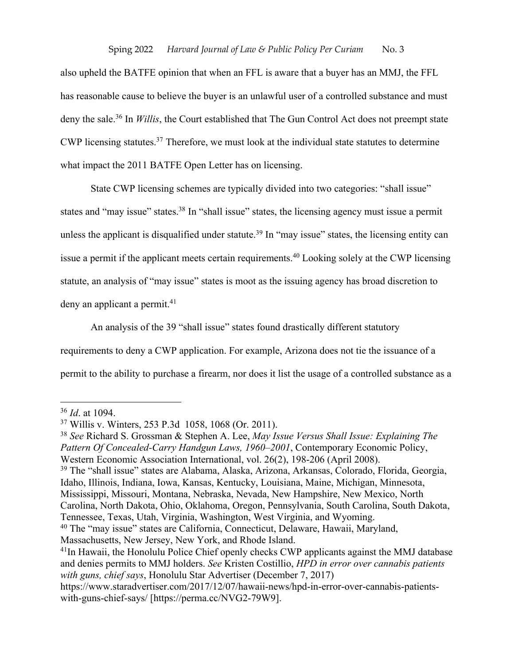also upheld the BATFE opinion that when an FFL is aware that a buyer has an MMJ, the FFL has reasonable cause to believe the buyer is an unlawful user of a controlled substance and must deny the sale.36 In *Willis*, the Court established that The Gun Control Act does not preempt state CWP licensing statutes. <sup>37</sup> Therefore, we must look at the individual state statutes to determine what impact the 2011 BATFE Open Letter has on licensing.

State CWP licensing schemes are typically divided into two categories: "shall issue" states and "may issue" states.<sup>38</sup> In "shall issue" states, the licensing agency must issue a permit unless the applicant is disqualified under statute.<sup>39</sup> In "may issue" states, the licensing entity can issue a permit if the applicant meets certain requirements.<sup>40</sup> Looking solely at the CWP licensing statute, an analysis of "may issue" states is moot as the issuing agency has broad discretion to deny an applicant a permit. 41

An analysis of the 39 "shall issue" states found drastically different statutory requirements to deny a CWP application. For example, Arizona does not tie the issuance of a permit to the ability to purchase a firearm, nor does it list the usage of a controlled substance as a

<sup>36</sup> *Id*. at 1094.

<sup>37</sup> Willis v. Winters, 253 P.3d 1058, 1068 (Or. 2011).

<sup>38</sup> *See* Richard S. Grossman & Stephen A. Lee, *May Issue Versus Shall Issue: Explaining The Pattern Of Concealed‐Carry Handgun Laws, 1960–2001*, Contemporary Economic Policy, Western Economic Association International, vol. 26(2), 198-206 (April 2008). <sup>39</sup> The "shall issue" states are Alabama, Alaska, Arizona, Arkansas, Colorado, Florida, Georgia, Idaho, Illinois, Indiana, Iowa, Kansas, Kentucky, Louisiana, Maine, Michigan, Minnesota, Mississippi, Missouri, Montana, Nebraska, Nevada, New Hampshire, New Mexico, North Carolina, North Dakota, Ohio, Oklahoma, Oregon, Pennsylvania, South Carolina, South Dakota, Tennessee, Texas, Utah, Virginia, Washington, West Virginia, and Wyoming. <sup>40</sup> The "may issue" states are California, Connecticut, Delaware, Hawaii, Maryland, Massachusetts, New Jersey, New York, and Rhode Island.

<sup>&</sup>lt;sup>41</sup>In Hawaii, the Honolulu Police Chief openly checks CWP applicants against the MMJ database and denies permits to MMJ holders. *See* Kristen Costillio, *HPD in error over cannabis patients with guns, chief says*, Honolulu Star Advertiser (December 7, 2017)

https://www.staradvertiser.com/2017/12/07/hawaii-news/hpd-in-error-over-cannabis-patientswith-guns-chief-says/ [https://perma.cc/NVG2-79W9].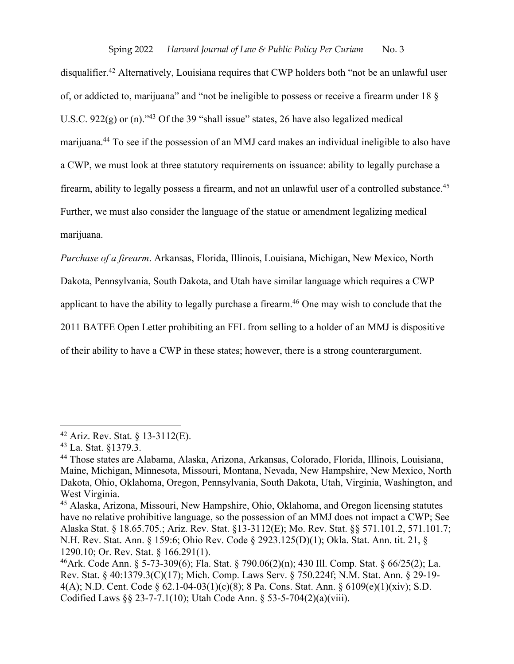disqualifier.<sup>42</sup> Alternatively, Louisiana requires that CWP holders both "not be an unlawful user of, or addicted to, marijuana" and "not be ineligible to possess or receive a firearm under 18 § U.S.C. 922(g) or (n).<sup>343</sup> Of the 39 "shall issue" states, 26 have also legalized medical marijuana.44 To see if the possession of an MMJ card makes an individual ineligible to also have a CWP, we must look at three statutory requirements on issuance: ability to legally purchase a firearm, ability to legally possess a firearm, and not an unlawful user of a controlled substance.<sup>45</sup> Further, we must also consider the language of the statue or amendment legalizing medical marijuana.

*Purchase of a firearm*. Arkansas, Florida, Illinois, Louisiana, Michigan, New Mexico, North Dakota, Pennsylvania, South Dakota, and Utah have similar language which requires a CWP applicant to have the ability to legally purchase a firearm.<sup>46</sup> One may wish to conclude that the 2011 BATFE Open Letter prohibiting an FFL from selling to a holder of an MMJ is dispositive of their ability to have a CWP in these states; however, there is a strong counterargument.

<sup>42</sup> Ariz. Rev. Stat. § 13-3112(E).

<sup>43</sup> La. Stat. §1379.3.

<sup>44</sup> Those states are Alabama, Alaska, Arizona, Arkansas, Colorado, Florida, Illinois, Louisiana, Maine, Michigan, Minnesota, Missouri, Montana, Nevada, New Hampshire, New Mexico, North Dakota, Ohio, Oklahoma, Oregon, Pennsylvania, South Dakota, Utah, Virginia, Washington, and West Virginia.

<sup>45</sup> Alaska, Arizona, Missouri, New Hampshire, Ohio, Oklahoma, and Oregon licensing statutes have no relative prohibitive language, so the possession of an MMJ does not impact a CWP; See Alaska Stat. § 18.65.705.; Ariz. Rev. Stat. §13-3112(E); Mo. Rev. Stat. §§ 571.101.2, 571.101.7; N.H. Rev. Stat. Ann. § 159:6; Ohio Rev. Code § 2923.125(D)(1); Okla. Stat. Ann. tit. 21, § 1290.10; Or. Rev. Stat. § 166.291(1).

<sup>46</sup>Ark. Code Ann. § 5-73-309(6); Fla. Stat. § 790.06(2)(n); 430 Ill. Comp. Stat. § 66/25(2); La. Rev. Stat. § 40:1379.3(C)(17); Mich. Comp. Laws Serv. § 750.224f; N.M. Stat. Ann. § 29-19- 4(A); N.D. Cent. Code § 62.1-04-03(1)(c)(8); 8 Pa. Cons. Stat. Ann. § 6109(e)(1)(xiv); S.D. Codified Laws §§ 23-7-7.1(10); Utah Code Ann. § 53-5-704(2)(a)(viii).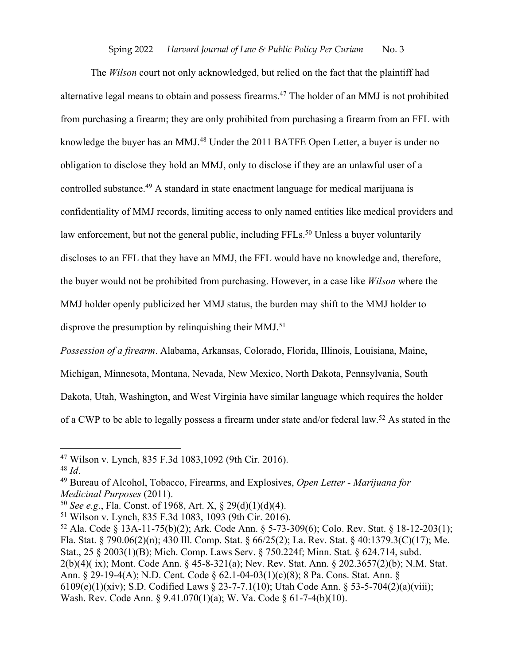#### Sping 2022 *Harvard Journal of Law & Public Policy Per Curiam* No. 3

The *Wilson* court not only acknowledged, but relied on the fact that the plaintiff had alternative legal means to obtain and possess firearms.<sup>47</sup> The holder of an MMJ is not prohibited from purchasing a firearm; they are only prohibited from purchasing a firearm from an FFL with knowledge the buyer has an MMJ.<sup>48</sup> Under the 2011 BATFE Open Letter, a buyer is under no obligation to disclose they hold an MMJ, only to disclose if they are an unlawful user of a controlled substance.49 A standard in state enactment language for medical marijuana is confidentiality of MMJ records, limiting access to only named entities like medical providers and law enforcement, but not the general public, including FFLs.<sup>50</sup> Unless a buyer voluntarily discloses to an FFL that they have an MMJ, the FFL would have no knowledge and, therefore, the buyer would not be prohibited from purchasing. However, in a case like *Wilson* where the MMJ holder openly publicized her MMJ status, the burden may shift to the MMJ holder to disprove the presumption by relinquishing their MMJ.<sup>51</sup>

*Possession of a firearm*. Alabama, Arkansas, Colorado, Florida, Illinois, Louisiana, Maine,

Michigan, Minnesota, Montana, Nevada, New Mexico, North Dakota, Pennsylvania, South

Dakota, Utah, Washington, and West Virginia have similar language which requires the holder

of a CWP to be able to legally possess a firearm under state and/or federal law.52 As stated in the

<sup>47</sup> Wilson v. Lynch, 835 F.3d 1083,1092 (9th Cir. 2016).

<sup>48</sup> *Id*.

<sup>49</sup> Bureau of Alcohol, Tobacco, Firearms, and Explosives, *Open Letter - Marijuana for Medicinal Purposes* (2011).

<sup>50</sup> *See e.g*., Fla. Const. of 1968, Art. X, § 29(d)(1)(d)(4).

<sup>51</sup> Wilson v. Lynch, 835 F.3d 1083, 1093 (9th Cir. 2016).

<sup>52</sup> Ala. Code § 13A-11-75(b)(2); Ark. Code Ann. § 5-73-309(6); Colo. Rev. Stat. § 18-12-203(1); Fla. Stat. § 790.06(2)(n); 430 Ill. Comp. Stat. § 66/25(2); La. Rev. Stat. § 40:1379.3(C)(17); Me. Stat., 25 § 2003(1)(B); Mich. Comp. Laws Serv. § 750.224f; Minn. Stat. § 624.714, subd. 2(b)(4)( ix); Mont. Code Ann. § 45-8-321(a); Nev. Rev. Stat. Ann. § 202.3657(2)(b); N.M. Stat. Ann. § 29-19-4(A); N.D. Cent. Code § 62.1-04-03(1)(c)(8); 8 Pa. Cons. Stat. Ann. § 6109(e)(1)(xiv); S.D. Codified Laws § 23-7-7.1(10); Utah Code Ann. § 53-5-704(2)(a)(viii); Wash. Rev. Code Ann. § 9.41.070(1)(a); W. Va. Code § 61-7-4(b)(10).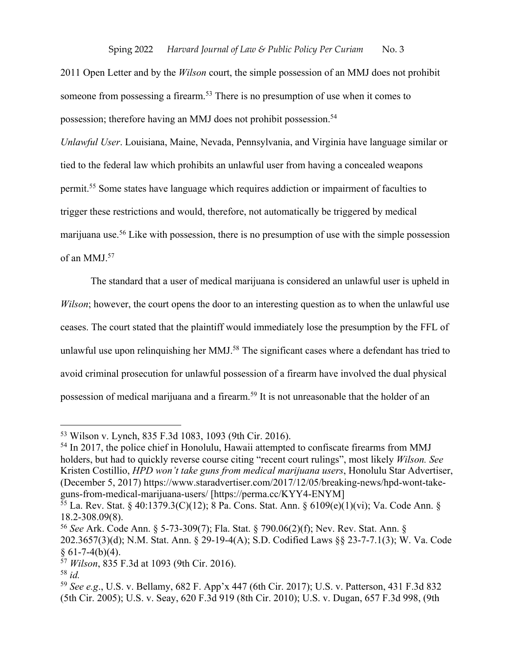2011 Open Letter and by the *Wilson* court, the simple possession of an MMJ does not prohibit someone from possessing a firearm.<sup>53</sup> There is no presumption of use when it comes to possession; therefore having an MMJ does not prohibit possession. 54

*Unlawful User*. Louisiana, Maine, Nevada, Pennsylvania, and Virginia have language similar or tied to the federal law which prohibits an unlawful user from having a concealed weapons permit.55 Some states have language which requires addiction or impairment of faculties to trigger these restrictions and would, therefore, not automatically be triggered by medical marijuana use.56 Like with possession, there is no presumption of use with the simple possession of an MMJ. 57

The standard that a user of medical marijuana is considered an unlawful user is upheld in *Wilson*; however, the court opens the door to an interesting question as to when the unlawful use ceases. The court stated that the plaintiff would immediately lose the presumption by the FFL of unlawful use upon relinquishing her MMJ.<sup>58</sup> The significant cases where a defendant has tried to avoid criminal prosecution for unlawful possession of a firearm have involved the dual physical possession of medical marijuana and a firearm.<sup>59</sup> It is not unreasonable that the holder of an

<sup>53</sup> Wilson v. Lynch, 835 F.3d 1083, 1093 (9th Cir. 2016).

<sup>&</sup>lt;sup>54</sup> In 2017, the police chief in Honolulu, Hawaii attempted to confiscate firearms from MMJ holders, but had to quickly reverse course citing "recent court rulings", most likely *Wilson. See*  Kristen Costillio, *HPD won't take guns from medical marijuana users*, Honolulu Star Advertiser, (December 5, 2017) https://www.staradvertiser.com/2017/12/05/breaking-news/hpd-wont-takeguns-from-medical-marijuana-users/ [https://perma.cc/KYY4-ENYM]

<sup>55</sup> La. Rev. Stat. § 40:1379.3(C)(12); 8 Pa. Cons. Stat. Ann. § 6109(e)(1)(vi); Va. Code Ann. § 18.2-308.09(8).

<sup>56</sup> *See* Ark. Code Ann. § 5-73-309(7); Fla. Stat. § 790.06(2)(f); Nev. Rev. Stat. Ann. § 202.3657(3)(d); N.M. Stat. Ann. § 29-19-4(A); S.D. Codified Laws §§ 23-7-7.1(3); W. Va. Code  $§ 61-7-4(b)(4).$ 

<sup>57</sup> *Wilson*, 835 F.3d at 1093 (9th Cir. 2016).

<sup>58</sup> *id.*

<sup>59</sup> *See e.g*., U.S. v. Bellamy, 682 F. App'x 447 (6th Cir. 2017); U.S. v. Patterson, 431 F.3d 832 (5th Cir. 2005); U.S. v. Seay, 620 F.3d 919 (8th Cir. 2010); U.S. v. Dugan, 657 F.3d 998, (9th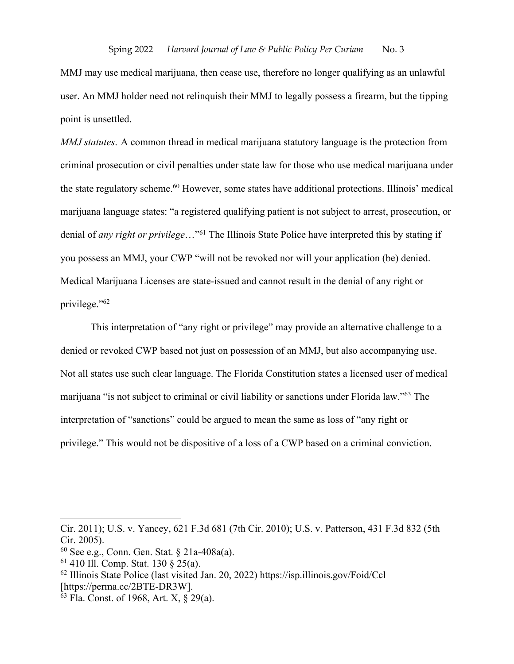MMJ may use medical marijuana, then cease use, therefore no longer qualifying as an unlawful user. An MMJ holder need not relinquish their MMJ to legally possess a firearm, but the tipping point is unsettled.

*MMJ statutes*. A common thread in medical marijuana statutory language is the protection from criminal prosecution or civil penalties under state law for those who use medical marijuana under the state regulatory scheme.60 However, some states have additional protections. Illinois' medical marijuana language states: "a registered qualifying patient is not subject to arrest, prosecution, or denial of *any right or privilege*…"61 The Illinois State Police have interpreted this by stating if you possess an MMJ, your CWP "will not be revoked nor will your application (be) denied. Medical Marijuana Licenses are state-issued and cannot result in the denial of any right or privilege."62

This interpretation of "any right or privilege" may provide an alternative challenge to a denied or revoked CWP based not just on possession of an MMJ, but also accompanying use. Not all states use such clear language. The Florida Constitution states a licensed user of medical marijuana "is not subject to criminal or civil liability or sanctions under Florida law."63 The interpretation of "sanctions" could be argued to mean the same as loss of "any right or privilege." This would not be dispositive of a loss of a CWP based on a criminal conviction.

Cir. 2011); U.S. v. Yancey, 621 F.3d 681 (7th Cir. 2010); U.S. v. Patterson, 431 F.3d 832 (5th Cir. 2005).

<sup>60</sup> See e.g., Conn. Gen. Stat. § 21a-408a(a).

<sup>61</sup> 410 Ill. Comp. Stat. 130 § 25(a).

<sup>62</sup> Illinois State Police (last visited Jan. 20, 2022) https://isp.illinois.gov/Foid/Ccl [https://perma.cc/2BTE-DR3W].

 $63$  Fla. Const. of 1968, Art. X,  $\frac{8}{9}$  29(a).